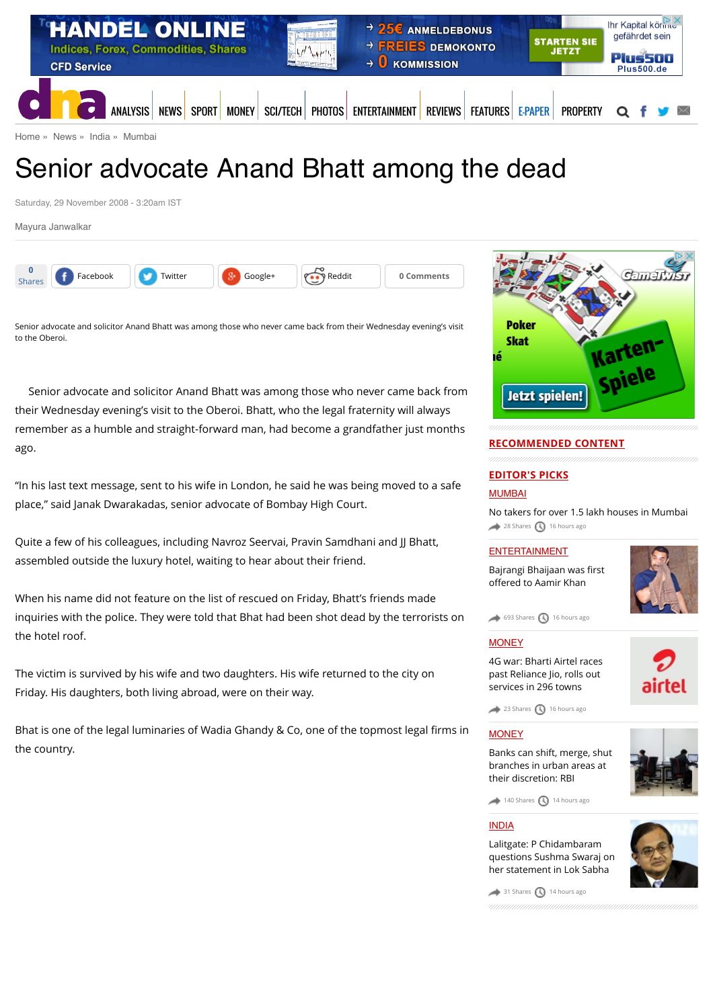

[Home](http://www.dnaindia.com/) » [News](http://www.dnaindia.com/news) » [India](http://www.dnaindia.com/india) » [Mumbai](http://www.dnaindia.com/mumbai)

# Senior advocate Anand Bhatt among the dead

Saturday, 29 November 2008 - 3:20am IST

[Mayura Janwalkar](http://www.dnaindia.com/authors/mayura-janwalkar)



Senior advocate and solicitor Anand Bhatt was among those who never came back from their Wednesday evening's visit to the Oberoi.

Senior advocate and solicitor Anand Bhatt was among those who never came back from their Wednesday evening's visit to the Oberoi. Bhatt, who the legal fraternity will always remember as a humble and straight-forward man, had become a grandfather just months ago.

"In his last text message, sent to his wife in London, he said he was being moved to a safe place," said Janak Dwarakadas, senior advocate of Bombay High Court.

Quite a few of his colleagues, including Navroz Seervai, Pravin Samdhani and JJ Bhatt, assembled outside the luxury hotel, waiting to hear about their friend.

When his name did not feature on the list of rescued on Friday, Bhatt's friends made inquiries with the police. They were told that Bhat had been shot dead by the terrorists on the hotel roof.

The victim is survived by his wife and two daughters. His wife returned to the city on Friday. His daughters, both living abroad, were on their way.

Bhat is one of the legal luminaries of Wadia Ghandy & Co, one of the topmost legal firms in the country.



## **RECOMMENDED CONTENT**

# **EDITOR'S PICKS**

[MUMBAI](http://www.dnaindia.com/mumbai)

[No takers for over 1.5 lakh houses in Mumbai](http://www.dnaindia.com/mumbai/report-no-takers-for-over-15-lakh-houses-in-mumbai-2111841)  $28$  Shares  $\bigcirc$  [16 hours ago](http://www.dnaindia.com/mumbai/report-senior-advocate-anand-bhatt-among-the-dead-1210119#)

## [ENTERTAINMENT](http://www.dnaindia.com/entertainment)

[Bajrangi Bhaijaan was](http://www.dnaindia.com/entertainment/report-now-it-can-be-told-2111792) first offered to Aamir Khan



 $\leftrightarrow$  [693 Shares](http://www.dnaindia.com/mumbai/report-senior-advocate-anand-bhatt-among-the-dead-1210119#)  $\bigcirc$  [16 hours ago](http://www.dnaindia.com/mumbai/report-senior-advocate-anand-bhatt-among-the-dead-1210119#)

## **[MONEY](http://www.dnaindia.com/money)**

[4G war: Bharti Airtel races](http://www.dnaindia.com/money/report-4g-war-bharti-airtel-races-past-reliance-jio-rolls-out-services-in-296-towns-2111880) past Reliance Jio, rolls out services in 296 towns



 $23$  Shares  $\bigcirc$  [16 hours ago](http://www.dnaindia.com/mumbai/report-senior-advocate-anand-bhatt-among-the-dead-1210119#)

## **[MONEY](http://www.dnaindia.com/money)**

[Banks can shift, merge, shut](http://www.dnaindia.com/money/report-banks-can-shift-merge-shut-branches-in-urban-areas-at-their-discretion-rbi-2111910) branches in urban areas at their discretion: RBI



 $140$  Shares  $\bigcirc$  [14 hours ago](http://www.dnaindia.com/mumbai/report-senior-advocate-anand-bhatt-among-the-dead-1210119#)

## [INDIA](http://www.dnaindia.com/india)

Lalitgate: P Chidambaram [questions Sushma Swaraj on](http://www.dnaindia.com/india/report-lalitgate-p-chidambaram-questions-sushma-swaraj-on-her-statement-in-lok-sabha-2111905) her statement in Lok Sabha



 $\rightarrow$  [31 Shares](http://www.dnaindia.com/mumbai/report-senior-advocate-anand-bhatt-among-the-dead-1210119#)  $\bigcirc$  [14 hours ago](http://www.dnaindia.com/mumbai/report-senior-advocate-anand-bhatt-among-the-dead-1210119#)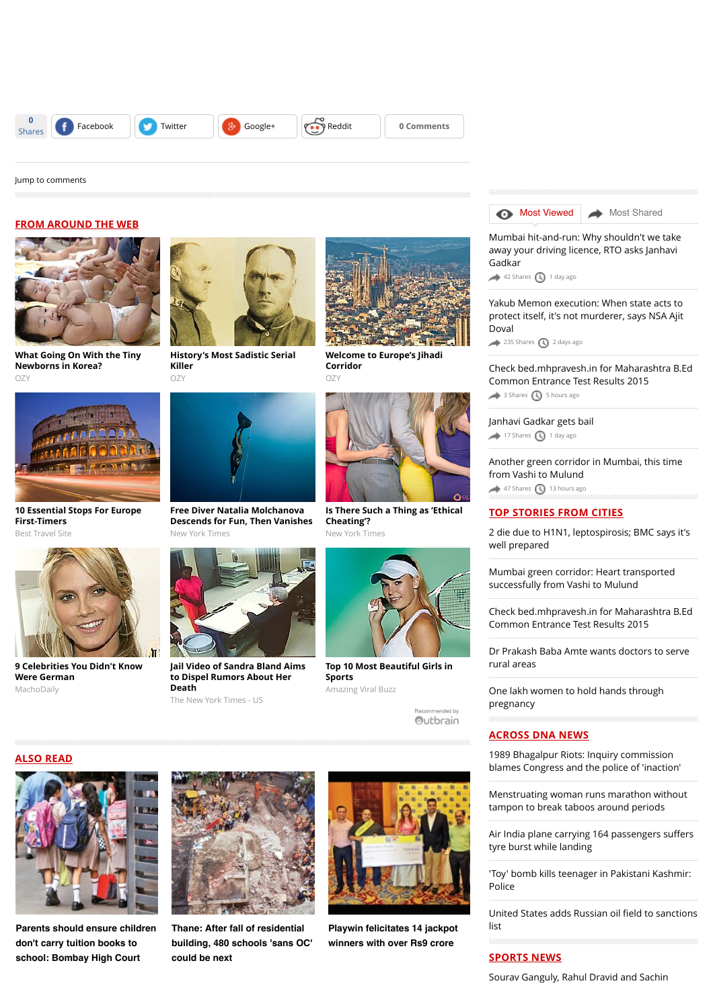

#### [Jump to comments](http://www.dnaindia.com/mumbai/report-senior-advocate-anand-bhatt-among-the-dead-1210119#comments)

## **FROM AROUND THE WEB**



**[What Going On With the Tiny](http://www.ozy.com/acumen/whats-wrong-with-all-those-little-newborns/40384?utm_source=Outbrain&utm_medium=CPC&utm_campaign=INTL%20-%20All%20Clicks%20ALL%20Devices) Newborns in Korea?**  $\cap$ 7



**[10 Essential Stops For Europe](http://travel-gist.com/10-essential-stops-for-europe-first-timers/) First-Timers** Best Travel Site



**[9 Celebrities You Didn't Know](http://machodaily.com/2015/06/9-celebrities-didnt-know-german/?utm_source=Outbrain&utm_medium=CPC&utm_campaign=OB_DE_Desktop_Tablet_Macho_9CelebritiesGerman) Were German** MachoDaily



**[History's Most Sadistic Serial](http://www.ozy.com/flashback/historys-most-sadistic-serial-killer/40585?utm_source=Outbrain&utm_medium=CPC&utm_campaign=INTL%20-%20All%20Clicks%20ALL%20Devices) Killer** O<sub>Z</sub>y



**Free Diver Natalia Molchanova [Descends for Fun, Then Vanishes](http://www.nytimes.com/2015/08/05/sports/natalia-molchanova-champion-free-diver-is-missing-near-ibiza.html?WT.mc_id=2015-AUGUST-OTB-INTL_AUD_DEV-0801-0831&WT.mc_ev=click&ad-keywords=IntlAudDev)** New York Times



**[Jail Video of Sandra Bland Aims](http://www.nytimes.com/2015/07/30/us/jail-video-of-sandra-bland-aims-to-dispel-rumors-about-her-death.html?WT.mc_id=2015-AUGUST-OTB-INTL_AUD_DEV-0801-0831&WT.mc_ev=click&ad-keywords=IntlAudDev) to Dispel Rumors About Her Death**

The New York Times - US



**[Welcome to Europe's Jihadi](http://www.ozy.com/fast-forward/welcome-to-europes-jihadi-corridor/60342?utm_source=Outbrain&utm_medium=CPC&utm_campaign=INTL%20-%20All%20Clicks%20ALL%20Devices) Corridor**  $OZ$ 



**[Is There Such a Thing as 'Ethical](http://www.nytimes.com/2015/07/27/fashion/ethical-cheating-open-minded-dot-com.html?WT.mc_id=2015-AUGUST-OTB-INTL_AUD_DEV-0801-0831&WT.mc_ev=click&ad-keywords=IntlAudDev) Cheating'?** New York Times



**[Top 10 Most Beautiful Girls in](http://azviralbuzz.com/10-most-beautiful-women-in-sports/) Sports** Amazing Viral Buzz

mmended by Outbrain



[Mumbai hit-and-run: Why shouldn't we take](http://www.dnaindia.com/mumbai/report-mumbai-hit-and-run-why-shouldn-t-we-take-away-your-driving-licence-rto-asks-janhavi-gadkar-2111529) away your driving licence, RTO asks Janhavi Gadkar

 $42$  Shares  $\bigcirc$  [1 day ago](http://www.dnaindia.com/mumbai/report-senior-advocate-anand-bhatt-among-the-dead-1210119#)

Yakub Memon execution: When state acts to [protect itself, it's not murderer, says NSA Ajit](http://www.dnaindia.com/mumbai/report-yakub-memon-execution-when-state-acts-to-protect-itself-it-s-not-murderer-says-nsa-ajit-doval-2111205) Doval

[235 Shares](http://www.dnaindia.com/mumbai/report-senior-advocate-anand-bhatt-among-the-dead-1210119#) [2 days ago](http://www.dnaindia.com/mumbai/report-senior-advocate-anand-bhatt-among-the-dead-1210119#)

[Check bed.mhpravesh.in for Maharashtra B.Ed](http://www.dnaindia.com/mumbai/report-check-bedmhpraveshin-for-maharashtra-bed-common-entrance-test-results-2015-2112077) Common Entrance Test Results 2015  $\rightarrow$  [3 Shares](http://www.dnaindia.com/mumbai/report-senior-advocate-anand-bhatt-among-the-dead-1210119#)  $\bigcirc$  [5 hours ago](http://www.dnaindia.com/mumbai/report-senior-advocate-anand-bhatt-among-the-dead-1210119#)

[Janhavi Gadkar gets bail](http://www.dnaindia.com/mumbai/report-janhavi-gadkar-gets-bail-2111487) [17 Shares](http://www.dnaindia.com/mumbai/report-senior-advocate-anand-bhatt-among-the-dead-1210119#) [1 day ago](http://www.dnaindia.com/mumbai/report-senior-advocate-anand-bhatt-among-the-dead-1210119#)

[Another green corridor in Mumbai, this time](http://www.dnaindia.com/mumbai/report-another-green-corridor-in-mumbai-this-time-from-vashi-to-mulund-2111918) from Vashi to Mulund  $\leftrightarrow$  [47 Shares](http://www.dnaindia.com/mumbai/report-senior-advocate-anand-bhatt-among-the-dead-1210119#)  $\bigcirc$  [13 hours ago](http://www.dnaindia.com/mumbai/report-senior-advocate-anand-bhatt-among-the-dead-1210119#)

## **TOP STORIES FROM CITIES**

[2 die due to H1N1, leptospirosis; BMC says it's](http://www.dnaindia.com/mumbai/report-2-die-due-to-h1n1-leptospirosis-bmc-says-it-s-well-prepared-2112214) well prepared

[Mumbai green corridor: Heart transported](http://www.dnaindia.com/mumbai/report-mumbai-green-corridor-heart-transported-successfully-from-vashi-to-mulund-2111941) successfully from Vashi to Mulund

[Check bed.mhpravesh.in for Maharashtra B.Ed](http://www.dnaindia.com/mumbai/report-check-bedmhpraveshin-for-maharashtra-bed-common-entrance-test-results-2015-2112077) Common Entrance Test Results 2015

[Dr Prakash Baba Amte wants doctors to serve](http://www.dnaindia.com/mumbai/report-dr-amte-wants-doctors-to-serve-rural-areas-2111856) rural areas

[One lakh women to hold hands through](http://www.dnaindia.com/mumbai/report-one-lakh-women-to-hold-hands-through-pregnancy-2111861) pregnancy

#### **ACROSS DNA NEWS**

1989 Bhagalpur Riots: Inquiry commission [blames Congress and the police of 'inaction'](http://www.dnaindia.com/india/report-bjp-blames-congress-for-1989-bhagalpur-riots-questions-nitish-kumar-s-alliance-with-rjd-2112207)

[Menstruating woman runs marathon without](http://www.dnaindia.com/world/report-menstruating-woman-runs-marathon-without-tampon-to-break-taboos-around-periods-2112188) tampon to break taboos around periods

[Air India plane carrying 164 passengers su](http://www.dnaindia.com/india/report-air-india-plane-carrying-164-passengers-suffers-tyre-burst-while-landing-2112182)ffers tyre burst while landing

['Toy' bomb kills teenager in Pakistani Kashmir:](http://www.dnaindia.com/world/report-toy-bomb-kills-teenager-in-pakistani-kashmir-police-2112167) Police

[United States adds Russian oil](http://www.dnaindia.com/world/report-united-states-adds-russian-oil-field-to-sanctions-list-2112168) field to sanctions list

## **SPORTS NEWS**

[Sourav Ganguly, Rahul Dravid and Sachin](http://www.dnaindia.com/sport/report-sourav-ganguly-rahul-dravid-and-sachin-tendulkar-the-brahma-vishnu-mahesh-of-indian-cricket-2112205)

**ALSO READ**



**[Parents should ensure children](http://www.dnaindia.com/mumbai/report-parents-should-ensure-children-don-t-carry-tuition-books-to-school-bombay-high-court-2111768) don't carry tuition books to school: Bombay High Court**



**Thane: After fall of residential [building, 480 schools 'sans OC'](http://www.dnaindia.com/mumbai/report-after-fall-of-residential-building-480-schools-sans-oc-could-be-next-2111769) could be next**



**[Playwin felicitates 14 jackpot](http://www.dnaindia.com/mumbai/report-playwin-felicitates-14-jackpot-winners-with-over-rs9-crore-2111759) winners with over Rs9 crore**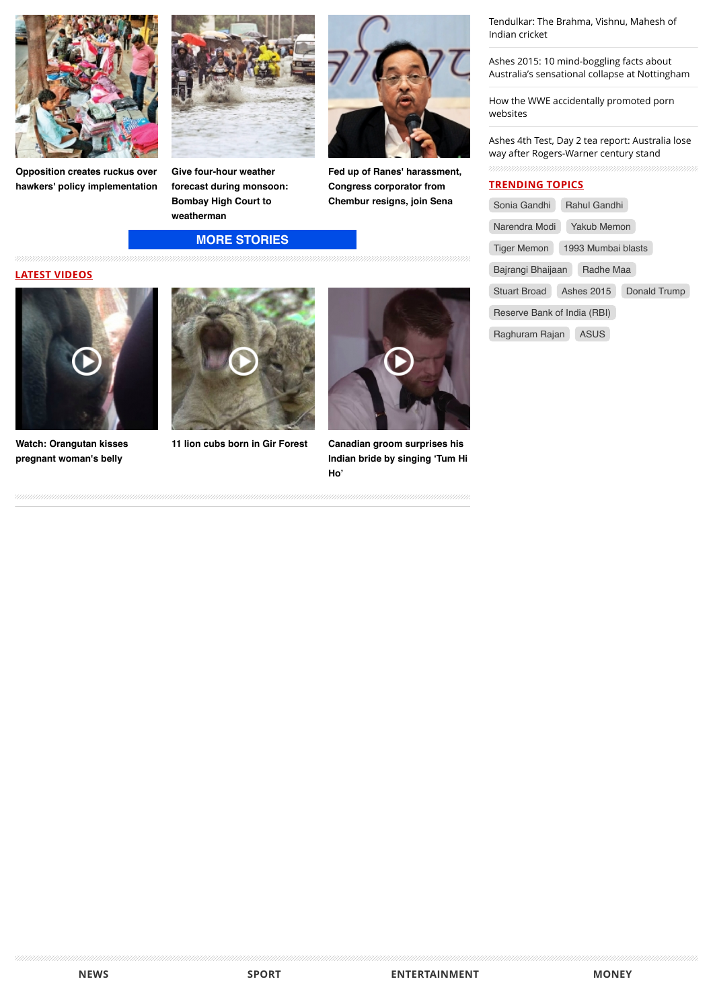

**[Opposition creates ruckus over](http://www.dnaindia.com/mumbai/report-opposition-creates-ruckus-over-hawkers-policy-implementation-2111822) hawkers' policy implementation**



**Give four-hour weather [forecast during monsoon:](http://www.dnaindia.com/mumbai/report-give-four-hour-weather-forecast-during-monsoon-bombay-high-court-to-weatherman-2111819) Bombay High Court to weatherman**

**[MORE STORIES](http://www.dnaindia.com/mumbai)**



**[Fed up of Ranes' harassment,](http://www.dnaindia.com/mumbai/report-fed-up-of-ranes-harassment-congress-corporator-from-chembur-resigns-join-sena-2111818) Congress corporator from Chembur resigns, join Sena**

## **LATEST VIDEOS**



**[Watch: Orangutan kisses](http://www.dnaindia.com/world/video-watch-orangutan-kisses-pregnant-woman-s-belly-2109068) pregnant woman's belly**





**[11 lion cubs born in Gir Forest](http://www.dnaindia.com/india/video-11-lion-cubs-born-in-gir-forest-2105493) Canadian groom surprises his [Indian bride by singing 'Tum Hi](http://www.dnaindia.com/world/video-canadian-groom-surprises-his-indian-bride-by-singing-tum-hi-ho-2104831) Ho'**

[Tendulkar: The Brahma, Vishnu, Mahesh of](http://www.dnaindia.com/sport/report-sourav-ganguly-rahul-dravid-and-sachin-tendulkar-the-brahma-vishnu-mahesh-of-indian-cricket-2112205) Indian cricket

Ashes 2015: 10 mind-boggling facts about [Australia's sensational collapse at Nottingham](http://www.dnaindia.com/sport/report-ashes-2015-10-mind-boggling-facts-about-australia-s-sensational-collapse-at-nottingham-2112195)

[How the WWE accidentally promoted porn](http://www.dnaindia.com/sport/report-wwe-accidentally-promotes-porn-sites-by-naming-women-s-tag-team-submission-sorority-2112186) websites

[Ashes 4th Test, Day 2 tea report: Australia lose](http://www.dnaindia.com/sport/report-ashes-4th-test-day-2-tea-report-australia-lose-way-after-rogers-warner-century-stand-2112173) way after Rogers-Warner century stand

## **TRENDING TOPICS**

| Sonia Gandhi                      | Rahul Gandhi |              |  |  |
|-----------------------------------|--------------|--------------|--|--|
| Narendra Modi<br>Yakub Memon      |              |              |  |  |
| 1993 Mumbai blasts<br>Tiger Memon |              |              |  |  |
| Radhe Maa<br>Bajrangi Bhaijaan    |              |              |  |  |
| Stuart Broad                      | Ashes 2015   | Donald Trump |  |  |
| Reserve Bank of India (RBI)       |              |              |  |  |
| Raghuram Rajan                    | ASUS         |              |  |  |